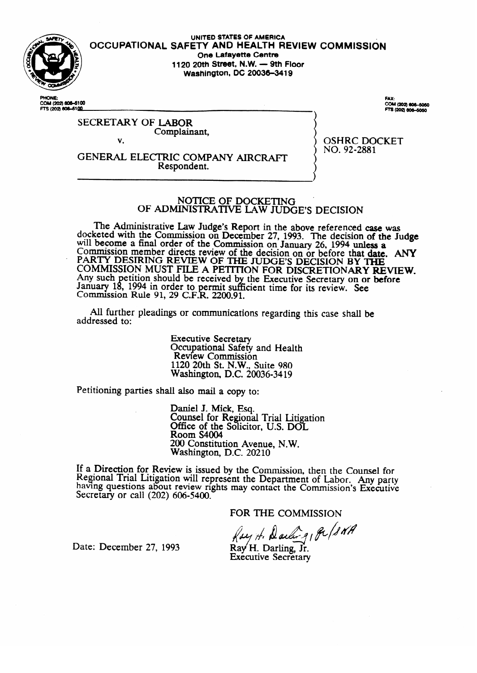

**UNITED** STATES OF **AMERICA OCCUPATIONAL SAFETY AND HEALTH REVIEW COMMiSSldN One Lafayette Centre 1120 20th Street, N.W. - 9th Floor Washington, DC 20036-3419** 

**PHONE-**COM (202) **606–5100**<br>FTS (202) **606–61<u>00</u>**  CAV. **COM (202) 606–50<br>FTS (202) 606–505** 

# SECRETARY OF LABOR Complainant,

V.

GENERAL ELECTRIC COMPANY AIRCRAFT Respondent.

OSHRC DOCKET<br>NO. 92-2881  $.0077228$ 

# NOTICE OF DOCKETING<br>OF ADMINISTRATIVE LAW JUDGE'S DECISION

The Administrative Law Judge's Report in the above referenced case was docketed with the Commission on December 27, 1993. The decision of the Judge will become a final order of the Commission on January 26, 1994 unless a Commission member directs review of the decision on or before that date. PART I DESIRING REVIEW OF THE JUDGE'S DECISION BY THE<br>COMMISSION MUST FILE A DECISION DOD DATELLAND LITER THAT COMMISSION MUST FILE A PETITION FOR DISCRETIONARY RE Any such permion should be received by the Executive Secretary on or before January<br>Commissi Commission  $\frac{1994 \text{ H}}{200 \text{ G}}$  in order to permit sufficient time for its review. See If NUE 91, 29 C.F.N.  $2200.91$ .

All further pleadings or communications regarding this case shall be  $A$  further pleading or communications regarding the communications regarding the case shall be shall be shall be shall be shall be shall be shall be shall be shall be shall be shall be shall be shall be shall be shall be

> **Executive Secretary** Occupational Safety and Health<br>Review Commission 1120 20th St. N.W., Suite 980 Nashington, D.C. 20 1120 20th St. N.W., Suite 980

Petitioning parties shall also mail a copy to:

Daniel J. Mick, Esq. Office of the Solicito Room S4004 200 Constitution Avenue, N.W. Washington, D.C. 20210

 $\overline{\phantom{a}}$ ew is issued by the Com having questions about review rights may contact the Commission's Executive Secretary or call (202) 606-5400.

FOR THE COMMISSION

Ksy H. Darling Pu/SNA

Date: December 27, 1993

Ray H. Darling, Jr. **Executive Secretary**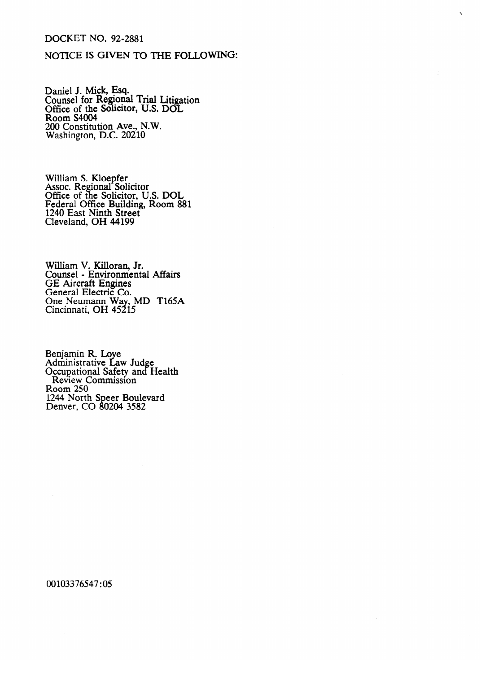# DOCKET NO. 92-2881

## NOTICE IS GIVEN TO THE FOLLOWING:

r.

Daniel J. Mick, Esq. Counsel for Regional Trial Litie  $\overline{a}$ ation Office of the Solicitor, U.S. DOI $_{\text{Dose}}$   $\leq 4004$ **ROOM S4004** 200 Constitution Ave., N.W. Washington, D.C. 20210

William S. Kloepfer<br>Assoc. Pegional So Assoc. Regional Solicitor Office of the Solicitor, U.S. DOL<br>Federal Office Building, Room 89 Federal Office Building, Room 661 1240 East Ninth Street  $C_{\text{L}}$  C<sub>1</sub>  $C_{\text{L}}$ <sub>441</sub>

William V. Killoran, Jr.<br>Counsel - Environmental Affairs Counsel - Environmental Affairs<br>GE Aircraft Engines SE Anterate Engines<br>General Electric Co. General Electric Co.<br>One Neumann Way.  $Cincinnati$ ,  $OH$   $45215$  $C<sub>1</sub>$ Cincinnati, OH  $15 - 15$ 

Administrative Lav Occupational Safety and H Review Commission Room 250 1244 North Denver, CO 80204 3582

00103376547:05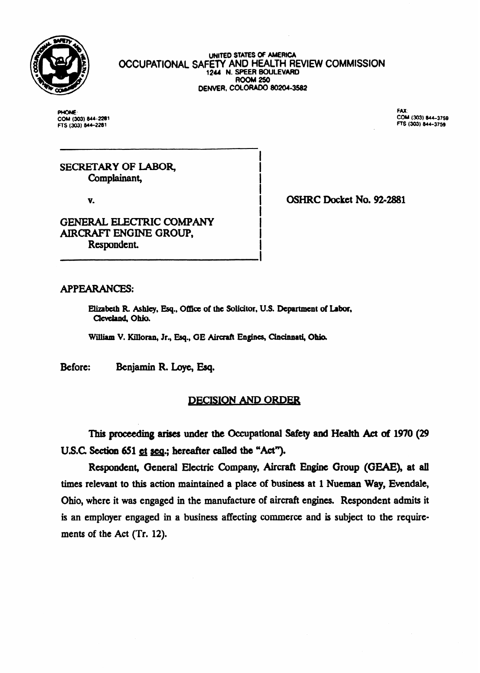

**UNITED STATES OF AMERICA OCCUPATIONAL SAFETY AND HEALTH REVIEW COMMISSION** 1244 **N. SPEER BOULEVARD ROOM 250<br>DENVER, COLORADO 80204-3582** 

**PHONE: FAX: FTS (303) 844-2281** 

-~-

FEORE: (303) 844–2281<br>COM (303) 844–2281<br>FTS (303) 844–2281

SECRETARY OF LABOR, Complainant,

v.

GENERAL ELECTRIC COMPANY AIRCRAFT ENGINE GROUP, Respondent.

OSHRC Docket No. 92-2881

## APPEARANCES:

Elizabeth R. Ashley, Esq., Office of the Solicitor, U.S. Department of Labor, Cleveland, Ohio.

William V. Killoran, Jr., Esq., **GE Aircraft Engines, Cincinnati, Ohio.** 

Before: Benjamin R. Loye, Esq.

# **DECISION AND ORDER**

I

This proceeding arises under the Occupational Safety and Health Act of 1970 (29) U.S.C. Section 651 et seq.; hereafter called the "Act").

Respondent, General Electric Company, Aircraft Engine Group (GEAE), at all times relevant to this action maintained a place of business at 1 Nueman Way, Evendale, Ohio, where it was engaged in the manufacture of aircraft engines. Respondent admits it is an employer engaged in a business affecting commerce and is subject to the requirements of the Act (Tr. 12).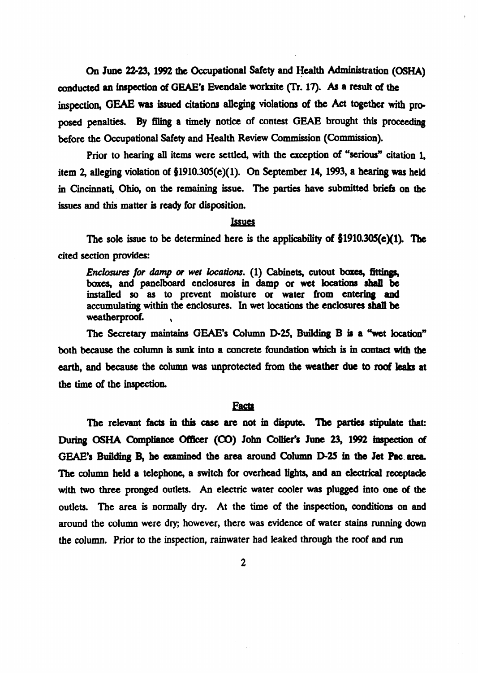On June 22-23, 1992 the Occupational Safety and Health Administration (OS) conducted an inspection of GEAE's Evendale worksite (Tr. 17). As a result of the inspection, GEAE was issued citations alleging violations of the Act together with proposed penalties. By filing a timely notice of contest GEAE brought this proceeding before the Occupational Safety and Health Review Commission (Commission).

Prior to hearing all items were settled, with the exception of "serious" citation 1. item 2, alleging violation of  $$1910.305(e)(1)$ . On September 14, 1993, a hearing was held in Cincinnati, Ohio, on the remaining issue. The parties have submitted briefs on the issues and this matter is ready for disposition.

#### Issues

The sole issue to be determined here is the applicability of  $$1910.305(e)(1)$ . The cited section provides:

*Enclosures for damp or wet locations.* (1) Cabinets, cutout boxes, fittings, boxes, and panelboard enclosures in **damp or wet locations shall be**  installed so as to prevent moisture or water from entering and accumulating within the enclosures. In wet locations the enclosures shall be **weatherproof. \** 

The Secretary maintains GEAE's Column D-25, Building B is a "wet location" both because the column is sunk into a concrete foundation which is in contact with the earth, and because the column was unprotected from the weather due to roof leaks at the time of the inspection.

#### **Facts**

The relevant facts in this case are not in dispute. The parties stipulate that: During OSHA Compliance Officer (CO) John Collier's June 23, 1992 inspection of GEAE's Building B, he examined the area around Column D-25 in the Jet Pac area. The column held a telephone, a switch for overhead lights, and an electrical receptacle with two three pronged outlets. An electric water cooler was plugged into one of the outlets. The area is normally dry. At the time of the inspection, conditions on and around the column were dry; however, there was evidence **of water stains running** down the column. Prior to the inspection, rainwater had leaked through the roof and run

2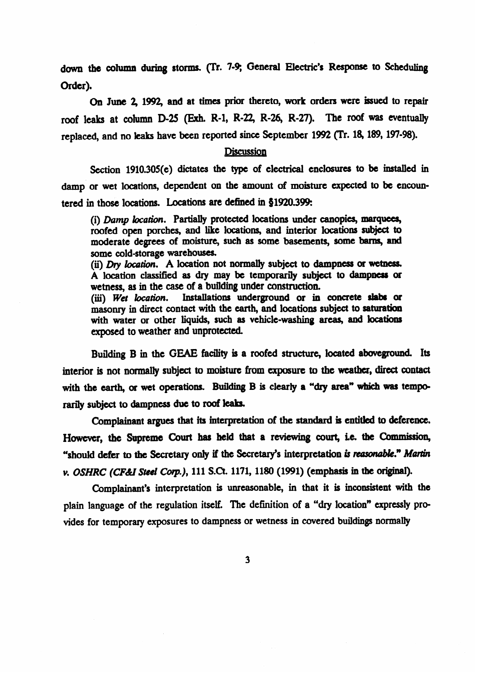down the column during storms. (Tr. 7-9; General Electric's Response to Scheduling **Order).** 

a June 2, 1992, **and at times** prior thereto, **work orders were issued to** repair roof leaks at column D-25 (Exh. R-1, R-22, R-26, R-27). The roof was eventually replaced, and no leaks have been reported since September 1992 (Tr. 18, 189, 197-98).

#### **Discussion**

Section  $1910.305(e)$  dictates the type of electrical enclosures to be installed in damp or **wet** locations, dependent on the amount **of** moisture expected to be encountered in those locations. Locations are defined in 31920.399:

(i) Dump bcation. **Partially** protected locations **under canopies, marquees,**  roofed open porches, and like locations, and interior locations subject to moderate degrees of moisture, such as **some basements, some barns, and**  some cold-storage warehouses.

(ii)  $Dry$  location. A location not normally subject to dampness or wetness. A location classified as dry may be temporarily subject to dampness ar wetness, as in the case of a **building** under construction.

(iii) Wet location. Installations underground or in concrete slabs or masonry **in** direct contact **with the earth, and locations subject** to saturatioa~ with water or other liquids, such as vehicle-washing areas, and locations exposed to weather and unprotected.

Building B in the GEAE facility is a roofed structure, located aboveground. Its interior is not normally subject to moisture from exposure to the weather, direct contact with the earth, or wet operations. Building B is clearly a "dry area" which was tempo**rarily subject to dampness due to roof feab.** 

**complainant argues that its interpretation of the standard is entitled to deference.**  However, the Supreme Court has held that a reviewing court, i.e. the Commission, "should defer to the Secretary only if the Secretary's interpretation is reasonable." Martin **v.** *OSHRC* **(CFdilStccl Corp.), 111** S.Ct. **1171,118O (1991) (emphasis in the original).** 

Complainant's interpretation is unreasonable, in **that it is inconsistent with the**  plain language of the regulation itself. The definition of a "dry location" expressly provides for temporary exposures to dampness or wetness in covered buildings normally